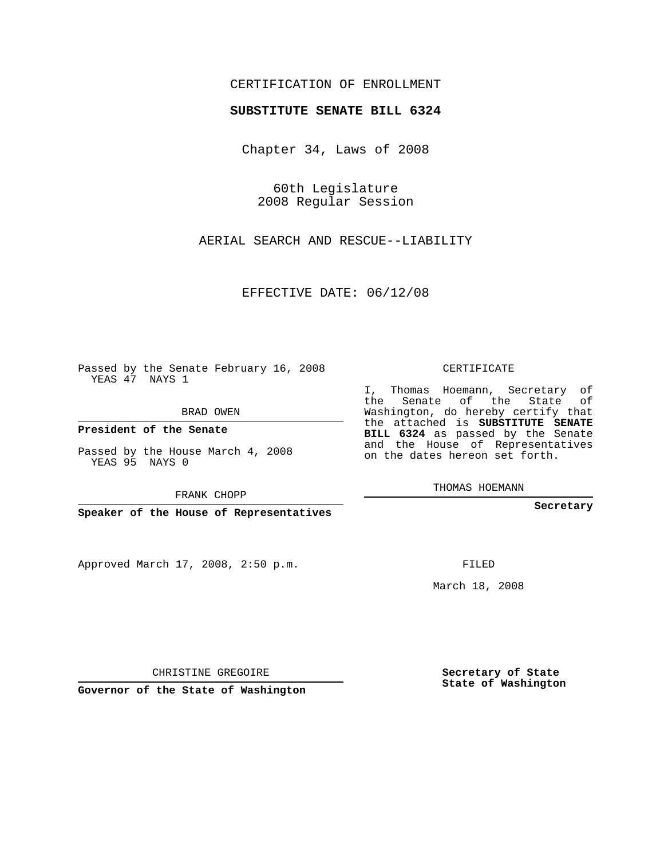## CERTIFICATION OF ENROLLMENT

## **SUBSTITUTE SENATE BILL 6324**

Chapter 34, Laws of 2008

60th Legislature 2008 Regular Session

AERIAL SEARCH AND RESCUE--LIABILITY

EFFECTIVE DATE: 06/12/08

Passed by the Senate February 16, 2008 YEAS 47 NAYS 1

BRAD OWEN

**President of the Senate**

Passed by the House March 4, 2008 YEAS 95 NAYS 0

FRANK CHOPP

**Speaker of the House of Representatives**

Approved March 17, 2008, 2:50 p.m.

CERTIFICATE

I, Thomas Hoemann, Secretary of the Senate of the State of Washington, do hereby certify that the attached is **SUBSTITUTE SENATE BILL 6324** as passed by the Senate and the House of Representatives on the dates hereon set forth.

THOMAS HOEMANN

**Secretary**

FILED

March 18, 2008

**Secretary of State State of Washington**

CHRISTINE GREGOIRE

**Governor of the State of Washington**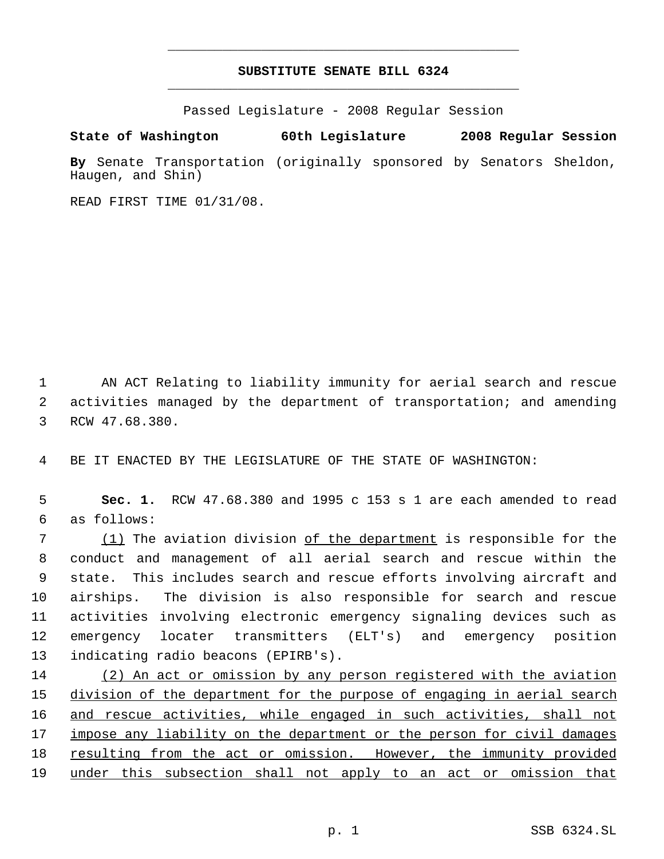## **SUBSTITUTE SENATE BILL 6324** \_\_\_\_\_\_\_\_\_\_\_\_\_\_\_\_\_\_\_\_\_\_\_\_\_\_\_\_\_\_\_\_\_\_\_\_\_\_\_\_\_\_\_\_\_

\_\_\_\_\_\_\_\_\_\_\_\_\_\_\_\_\_\_\_\_\_\_\_\_\_\_\_\_\_\_\_\_\_\_\_\_\_\_\_\_\_\_\_\_\_

Passed Legislature - 2008 Regular Session

**State of Washington 60th Legislature 2008 Regular Session**

**By** Senate Transportation (originally sponsored by Senators Sheldon, Haugen, and Shin)

READ FIRST TIME 01/31/08.

 1 AN ACT Relating to liability immunity for aerial search and rescue 2 activities managed by the department of transportation; and amending 3 RCW 47.68.380.

4 BE IT ENACTED BY THE LEGISLATURE OF THE STATE OF WASHINGTON:

 5 **Sec. 1.** RCW 47.68.380 and 1995 c 153 s 1 are each amended to read 6 as follows:

 (1) The aviation division of the department is responsible for the conduct and management of all aerial search and rescue within the state. This includes search and rescue efforts involving aircraft and airships. The division is also responsible for search and rescue activities involving electronic emergency signaling devices such as emergency locater transmitters (ELT's) and emergency position indicating radio beacons (EPIRB's).

14 (2) An act or omission by any person registered with the aviation 15 division of the department for the purpose of engaging in aerial search 16 and rescue activities, while engaged in such activities, shall not 17 impose any liability on the department or the person for civil damages 18 resulting from the act or omission. However, the immunity provided 19 under this subsection shall not apply to an act or omission that